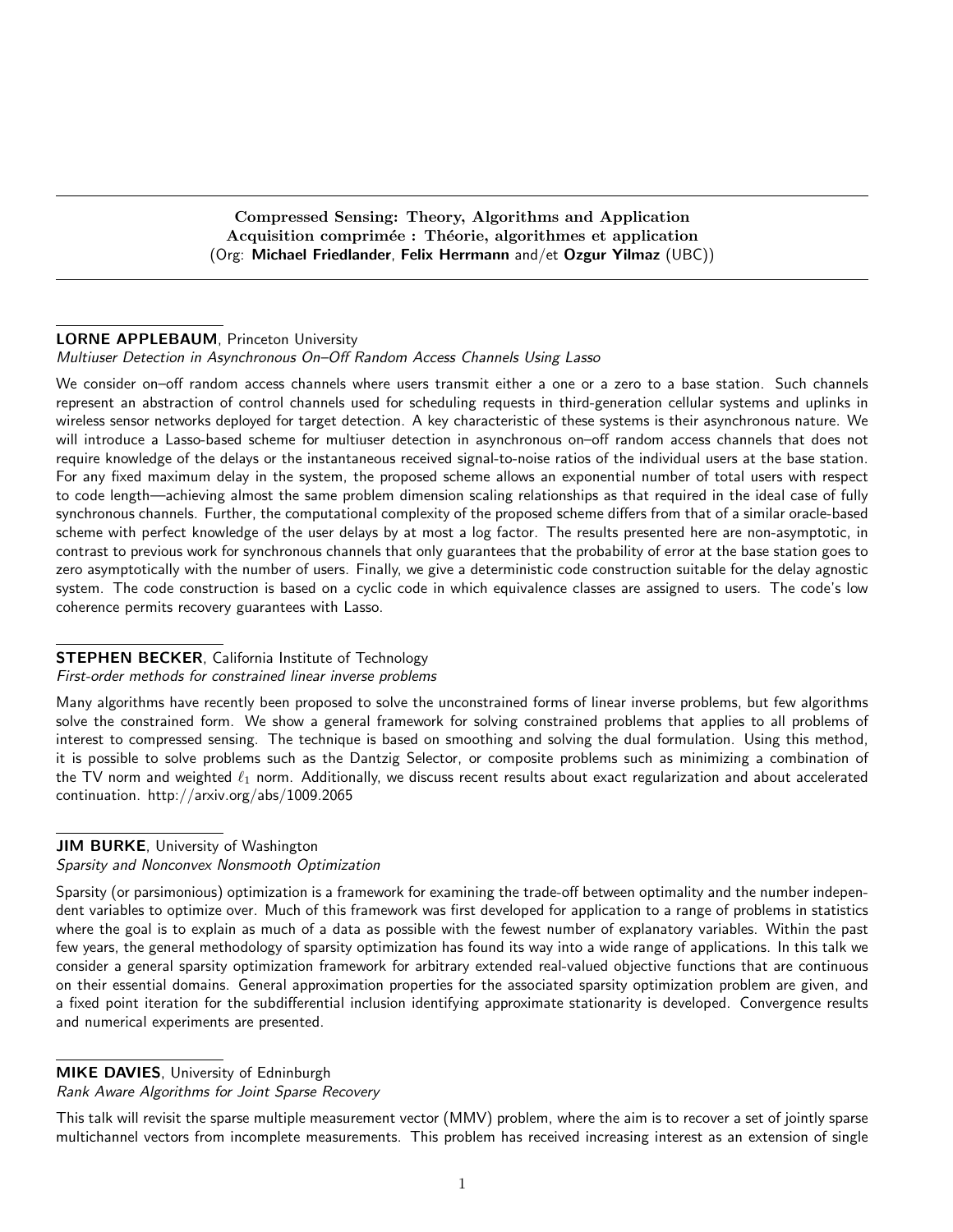Compressed Sensing: Theory, Algorithms and Application Acquisition comprimée : Théorie, algorithmes et application (Org: Michael Friedlander, Felix Herrmann and/et Ozgur Yilmaz (UBC))

#### LORNE APPLEBAUM, Princeton University

Multiuser Detection in Asynchronous On–Off Random Access Channels Using Lasso

We consider on-off random access channels where users transmit either a one or a zero to a base station. Such channels represent an abstraction of control channels used for scheduling requests in third-generation cellular systems and uplinks in wireless sensor networks deployed for target detection. A key characteristic of these systems is their asynchronous nature. We will introduce a Lasso-based scheme for multiuser detection in asynchronous on–off random access channels that does not require knowledge of the delays or the instantaneous received signal-to-noise ratios of the individual users at the base station. For any fixed maximum delay in the system, the proposed scheme allows an exponential number of total users with respect to code length—achieving almost the same problem dimension scaling relationships as that required in the ideal case of fully synchronous channels. Further, the computational complexity of the proposed scheme differs from that of a similar oracle-based scheme with perfect knowledge of the user delays by at most a log factor. The results presented here are non-asymptotic, in contrast to previous work for synchronous channels that only guarantees that the probability of error at the base station goes to zero asymptotically with the number of users. Finally, we give a deterministic code construction suitable for the delay agnostic system. The code construction is based on a cyclic code in which equivalence classes are assigned to users. The code's low coherence permits recovery guarantees with Lasso.

#### **STEPHEN BECKER, California Institute of Technology**

#### First-order methods for constrained linear inverse problems

Many algorithms have recently been proposed to solve the unconstrained forms of linear inverse problems, but few algorithms solve the constrained form. We show a general framework for solving constrained problems that applies to all problems of interest to compressed sensing. The technique is based on smoothing and solving the dual formulation. Using this method, it is possible to solve problems such as the Dantzig Selector, or composite problems such as minimizing a combination of the TV norm and weighted  $\ell_1$  norm. Additionally, we discuss recent results about exact regularization and about accelerated continuation. http://arxiv.org/abs/1009.2065

#### JIM BURKE, University of Washington Sparsity and Nonconvex Nonsmooth Optimization

Sparsity (or parsimonious) optimization is a framework for examining the trade-off between optimality and the number independent variables to optimize over. Much of this framework was first developed for application to a range of problems in statistics where the goal is to explain as much of a data as possible with the fewest number of explanatory variables. Within the past few years, the general methodology of sparsity optimization has found its way into a wide range of applications. In this talk we consider a general sparsity optimization framework for arbitrary extended real-valued objective functions that are continuous on their essential domains. General approximation properties for the associated sparsity optimization problem are given, and a fixed point iteration for the subdifferential inclusion identifying approximate stationarity is developed. Convergence results and numerical experiments are presented.

#### MIKE DAVIES, University of Edninburgh

Rank Aware Algorithms for Joint Sparse Recovery

This talk will revisit the sparse multiple measurement vector (MMV) problem, where the aim is to recover a set of jointly sparse multichannel vectors from incomplete measurements. This problem has received increasing interest as an extension of single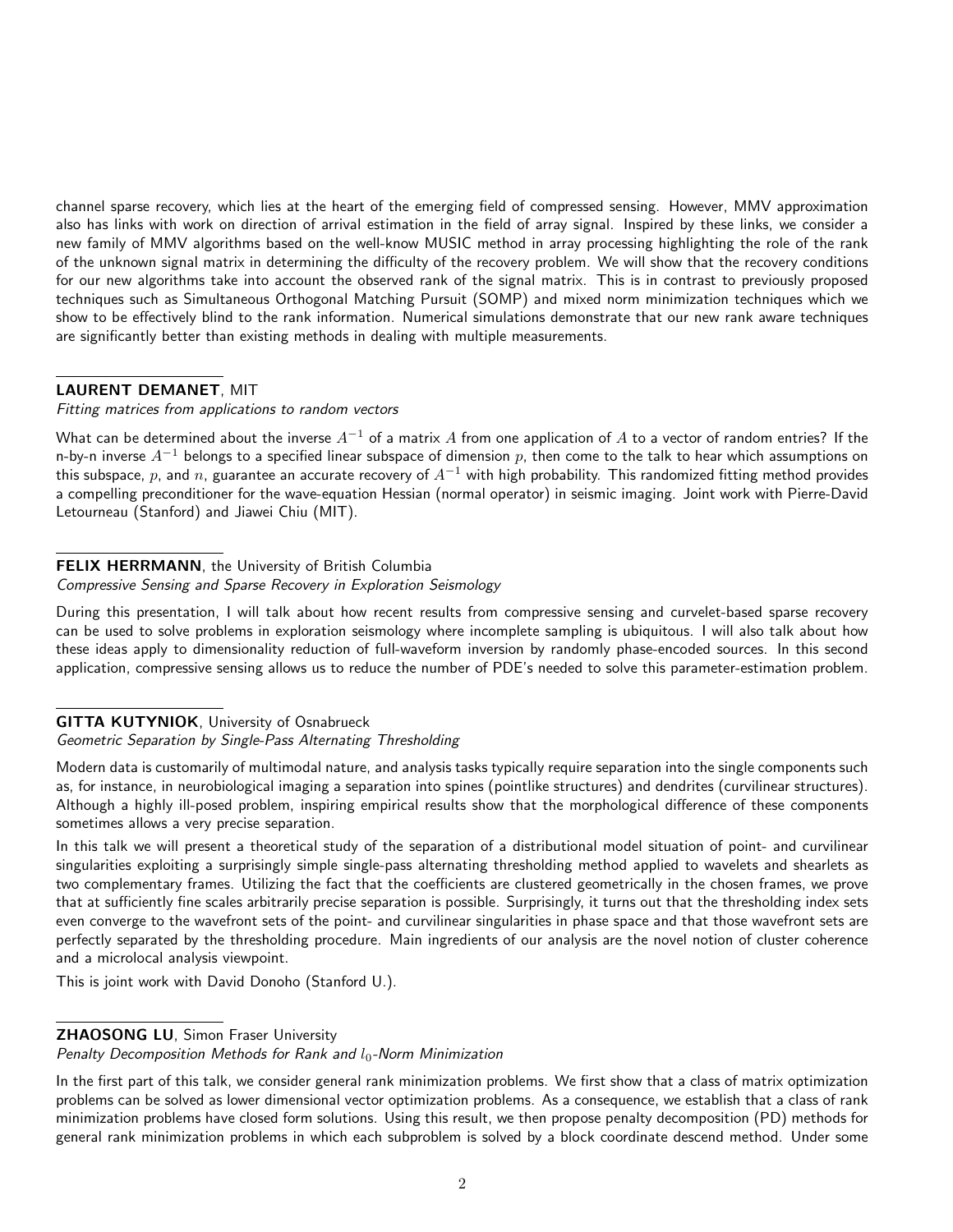channel sparse recovery, which lies at the heart of the emerging field of compressed sensing. However, MMV approximation also has links with work on direction of arrival estimation in the field of array signal. Inspired by these links, we consider a new family of MMV algorithms based on the well-know MUSIC method in array processing highlighting the role of the rank of the unknown signal matrix in determining the difficulty of the recovery problem. We will show that the recovery conditions for our new algorithms take into account the observed rank of the signal matrix. This is in contrast to previously proposed techniques such as Simultaneous Orthogonal Matching Pursuit (SOMP) and mixed norm minimization techniques which we show to be effectively blind to the rank information. Numerical simulations demonstrate that our new rank aware techniques are significantly better than existing methods in dealing with multiple measurements.

# LAURENT DEMANET, MIT

#### Fitting matrices from applications to random vectors

What can be determined about the inverse  $A^{-1}$  of a matrix A from one application of A to a vector of random entries? If the n-by-n inverse  $A^{-1}$  belongs to a specified linear subspace of dimension p, then come to the talk to hear which assumptions on this subspace, p, and n, guarantee an accurate recovery of  $A^{-1}$  with high probability. This randomized fitting method provides a compelling preconditioner for the wave-equation Hessian (normal operator) in seismic imaging. Joint work with Pierre-David Letourneau (Stanford) and Jiawei Chiu (MIT).

# FELIX HERRMANN, the University of British Columbia

# Compressive Sensing and Sparse Recovery in Exploration Seismology

During this presentation, I will talk about how recent results from compressive sensing and curvelet-based sparse recovery can be used to solve problems in exploration seismology where incomplete sampling is ubiquitous. I will also talk about how these ideas apply to dimensionality reduction of full-waveform inversion by randomly phase-encoded sources. In this second application, compressive sensing allows us to reduce the number of PDE's needed to solve this parameter-estimation problem.

#### GITTA KUTYNIOK, University of Osnabrueck

#### Geometric Separation by Single-Pass Alternating Thresholding

Modern data is customarily of multimodal nature, and analysis tasks typically require separation into the single components such as, for instance, in neurobiological imaging a separation into spines (pointlike structures) and dendrites (curvilinear structures). Although a highly ill-posed problem, inspiring empirical results show that the morphological difference of these components sometimes allows a very precise separation.

In this talk we will present a theoretical study of the separation of a distributional model situation of point- and curvilinear singularities exploiting a surprisingly simple single-pass alternating thresholding method applied to wavelets and shearlets as two complementary frames. Utilizing the fact that the coefficients are clustered geometrically in the chosen frames, we prove that at sufficiently fine scales arbitrarily precise separation is possible. Surprisingly, it turns out that the thresholding index sets even converge to the wavefront sets of the point- and curvilinear singularities in phase space and that those wavefront sets are perfectly separated by the thresholding procedure. Main ingredients of our analysis are the novel notion of cluster coherence and a microlocal analysis viewpoint.

This is joint work with David Donoho (Stanford U.).

# **ZHAOSONG LU**, Simon Fraser University

#### Penalty Decomposition Methods for Rank and  $l_0$ -Norm Minimization

In the first part of this talk, we consider general rank minimization problems. We first show that a class of matrix optimization problems can be solved as lower dimensional vector optimization problems. As a consequence, we establish that a class of rank minimization problems have closed form solutions. Using this result, we then propose penalty decomposition (PD) methods for general rank minimization problems in which each subproblem is solved by a block coordinate descend method. Under some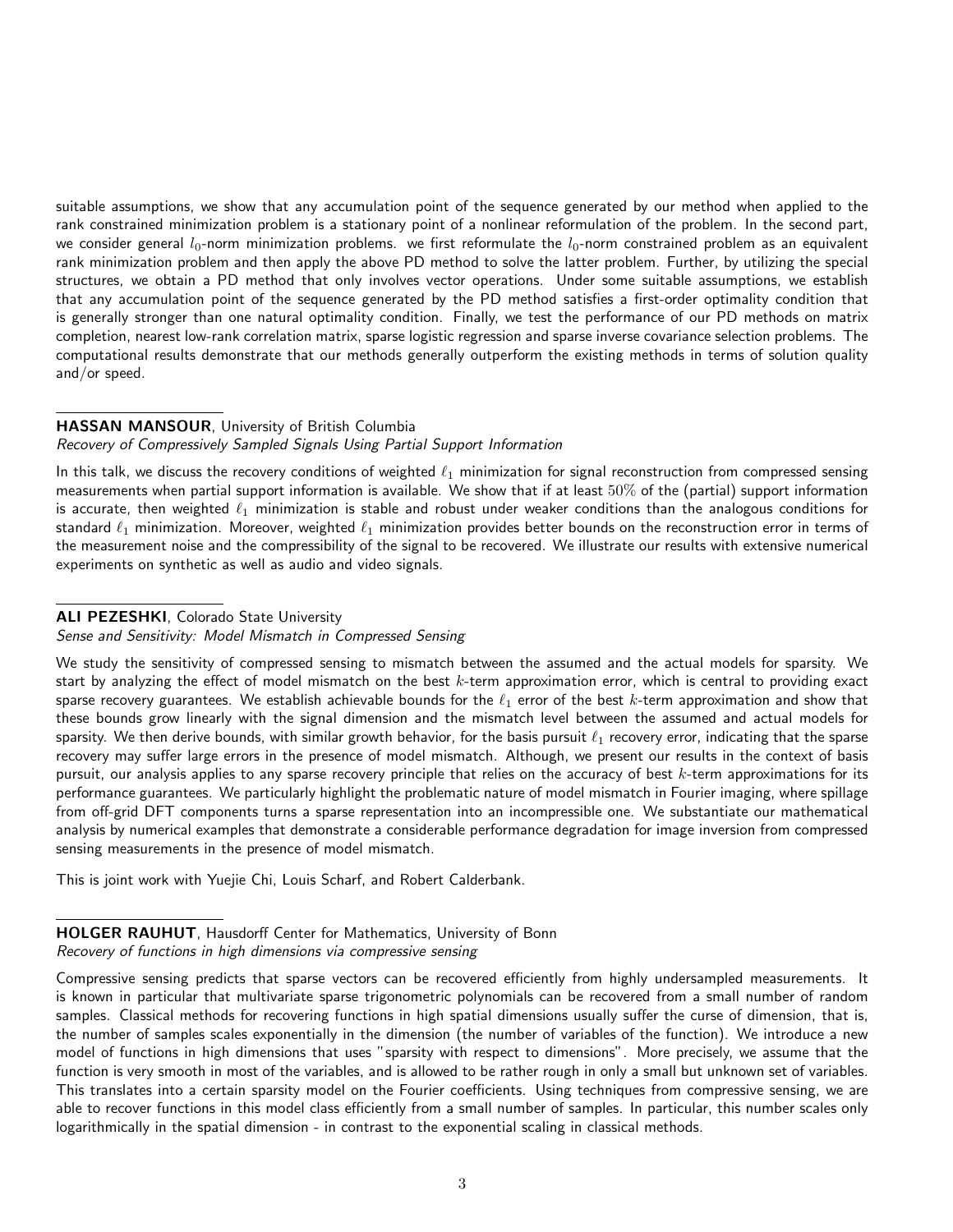suitable assumptions, we show that any accumulation point of the sequence generated by our method when applied to the rank constrained minimization problem is a stationary point of a nonlinear reformulation of the problem. In the second part, we consider general  $l_0$ -norm minimization problems. we first reformulate the  $l_0$ -norm constrained problem as an equivalent rank minimization problem and then apply the above PD method to solve the latter problem. Further, by utilizing the special structures, we obtain a PD method that only involves vector operations. Under some suitable assumptions, we establish that any accumulation point of the sequence generated by the PD method satisfies a first-order optimality condition that is generally stronger than one natural optimality condition. Finally, we test the performance of our PD methods on matrix completion, nearest low-rank correlation matrix, sparse logistic regression and sparse inverse covariance selection problems. The computational results demonstrate that our methods generally outperform the existing methods in terms of solution quality and/or speed.

# HASSAN MANSOUR, University of British Columbia

# Recovery of Compressively Sampled Signals Using Partial Support Information

In this talk, we discuss the recovery conditions of weighted  $\ell_1$  minimization for signal reconstruction from compressed sensing measurements when partial support information is available. We show that if at least  $50\%$  of the (partial) support information is accurate, then weighted  $\ell_1$  minimization is stable and robust under weaker conditions than the analogous conditions for standard  $\ell_1$  minimization. Moreover, weighted  $\ell_1$  minimization provides better bounds on the reconstruction error in terms of the measurement noise and the compressibility of the signal to be recovered. We illustrate our results with extensive numerical experiments on synthetic as well as audio and video signals.

# ALI PEZESHKI, Colorado State University

#### Sense and Sensitivity: Model Mismatch in Compressed Sensing

We study the sensitivity of compressed sensing to mismatch between the assumed and the actual models for sparsity. We start by analyzing the effect of model mismatch on the best  $k$ -term approximation error, which is central to providing exact sparse recovery guarantees. We establish achievable bounds for the  $\ell_1$  error of the best k-term approximation and show that these bounds grow linearly with the signal dimension and the mismatch level between the assumed and actual models for sparsity. We then derive bounds, with similar growth behavior, for the basis pursuit  $\ell_1$  recovery error, indicating that the sparse recovery may suffer large errors in the presence of model mismatch. Although, we present our results in the context of basis pursuit, our analysis applies to any sparse recovery principle that relies on the accuracy of best  $k$ -term approximations for its performance guarantees. We particularly highlight the problematic nature of model mismatch in Fourier imaging, where spillage from off-grid DFT components turns a sparse representation into an incompressible one. We substantiate our mathematical analysis by numerical examples that demonstrate a considerable performance degradation for image inversion from compressed sensing measurements in the presence of model mismatch.

This is joint work with Yuejie Chi, Louis Scharf, and Robert Calderbank.

# HOLGER RAUHUT, Hausdorff Center for Mathematics, University of Bonn

#### Recovery of functions in high dimensions via compressive sensing

Compressive sensing predicts that sparse vectors can be recovered efficiently from highly undersampled measurements. It is known in particular that multivariate sparse trigonometric polynomials can be recovered from a small number of random samples. Classical methods for recovering functions in high spatial dimensions usually suffer the curse of dimension, that is, the number of samples scales exponentially in the dimension (the number of variables of the function). We introduce a new model of functions in high dimensions that uses "sparsity with respect to dimensions". More precisely, we assume that the function is very smooth in most of the variables, and is allowed to be rather rough in only a small but unknown set of variables. This translates into a certain sparsity model on the Fourier coefficients. Using techniques from compressive sensing, we are able to recover functions in this model class efficiently from a small number of samples. In particular, this number scales only logarithmically in the spatial dimension - in contrast to the exponential scaling in classical methods.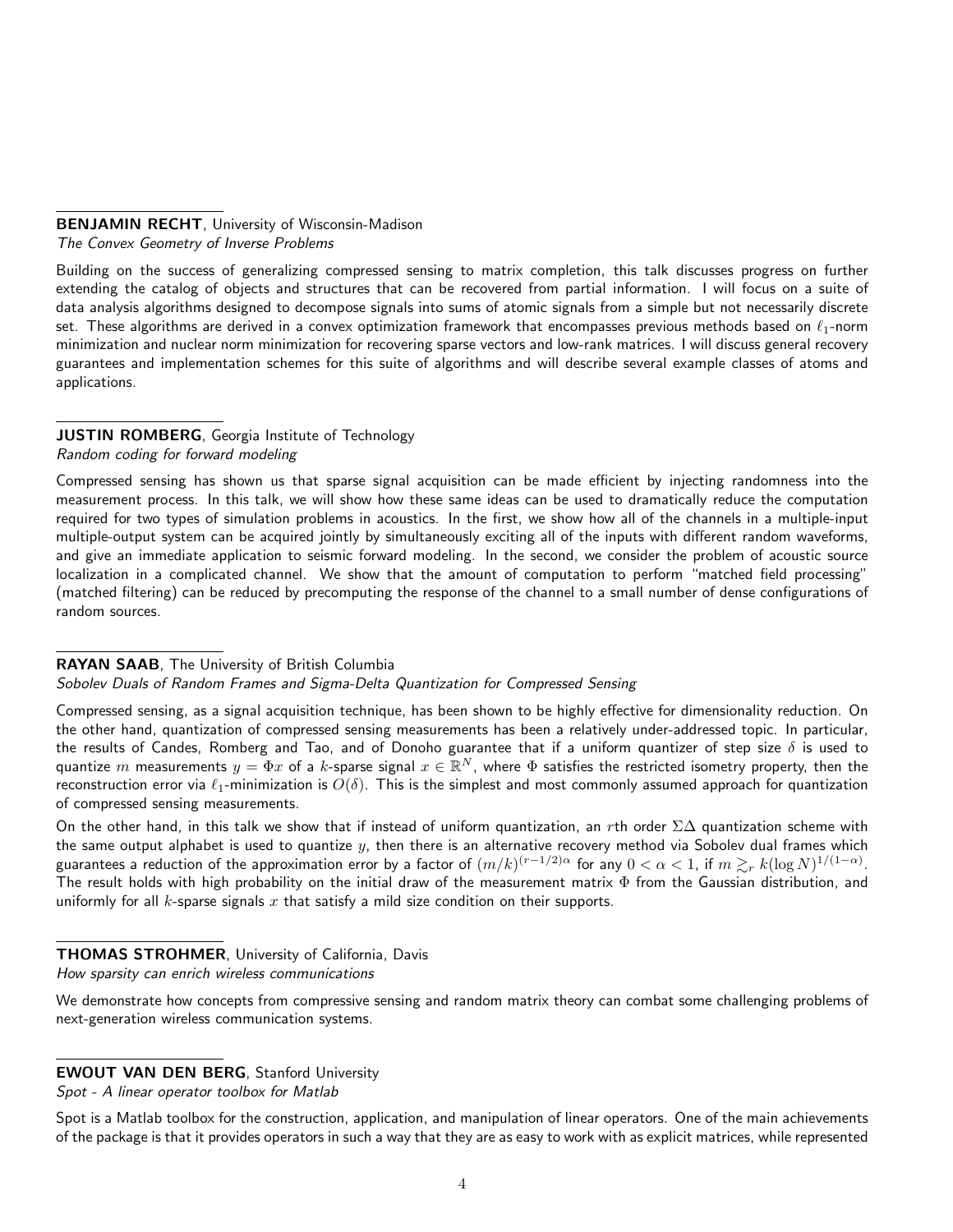# BENJAMIN RECHT, University of Wisconsin-Madison

The Convex Geometry of Inverse Problems

Building on the success of generalizing compressed sensing to matrix completion, this talk discusses progress on further extending the catalog of objects and structures that can be recovered from partial information. I will focus on a suite of data analysis algorithms designed to decompose signals into sums of atomic signals from a simple but not necessarily discrete set. These algorithms are derived in a convex optimization framework that encompasses previous methods based on  $\ell_1$ -norm minimization and nuclear norm minimization for recovering sparse vectors and low-rank matrices. I will discuss general recovery guarantees and implementation schemes for this suite of algorithms and will describe several example classes of atoms and applications.

# JUSTIN ROMBERG, Georgia Institute of Technology Random coding for forward modeling

Compressed sensing has shown us that sparse signal acquisition can be made efficient by injecting randomness into the measurement process. In this talk, we will show how these same ideas can be used to dramatically reduce the computation required for two types of simulation problems in acoustics. In the first, we show how all of the channels in a multiple-input multiple-output system can be acquired jointly by simultaneously exciting all of the inputs with different random waveforms, and give an immediate application to seismic forward modeling. In the second, we consider the problem of acoustic source localization in a complicated channel. We show that the amount of computation to perform "matched field processing" (matched filtering) can be reduced by precomputing the response of the channel to a small number of dense configurations of random sources.

# RAYAN SAAB, The University of British Columbia

Sobolev Duals of Random Frames and Sigma-Delta Quantization for Compressed Sensing

Compressed sensing, as a signal acquisition technique, has been shown to be highly effective for dimensionality reduction. On the other hand, quantization of compressed sensing measurements has been a relatively under-addressed topic. In particular, the results of Candes, Romberg and Tao, and of Donoho guarantee that if a uniform quantizer of step size  $\delta$  is used to quantize  $m$  measurements  $y=\Phi x$  of a  $k$ -sparse signal  $x\in\mathbb{R}^N$ , where  $\Phi$  satisfies the restricted isometry property, then the reconstruction error via  $\ell_1$ -minimization is  $O(\delta)$ . This is the simplest and most commonly assumed approach for quantization of compressed sensing measurements.

On the other hand, in this talk we show that if instead of uniform quantization, an rth order  $\Sigma\Delta$  quantization scheme with the same output alphabet is used to quantize  $y$ , then there is an alternative recovery method via Sobolev dual frames which guarantees a reduction of the approximation error by a factor of  $(m/k)^{(r-1/2)\alpha}$  for any  $0<\alpha< 1$ , if  $m\gtrsim_r k(\log N)^{1/(1-\alpha)}$ . The result holds with high probability on the initial draw of the measurement matrix  $\Phi$  from the Gaussian distribution, and uniformly for all  $k$ -sparse signals  $x$  that satisfy a mild size condition on their supports.

# THOMAS STROHMER, University of California, Davis

How sparsity can enrich wireless communications

We demonstrate how concepts from compressive sensing and random matrix theory can combat some challenging problems of next-generation wireless communication systems.

# EWOUT VAN DEN BERG, Stanford University

Spot - A linear operator toolbox for Matlab

Spot is a Matlab toolbox for the construction, application, and manipulation of linear operators. One of the main achievements of the package is that it provides operators in such a way that they are as easy to work with as explicit matrices, while represented